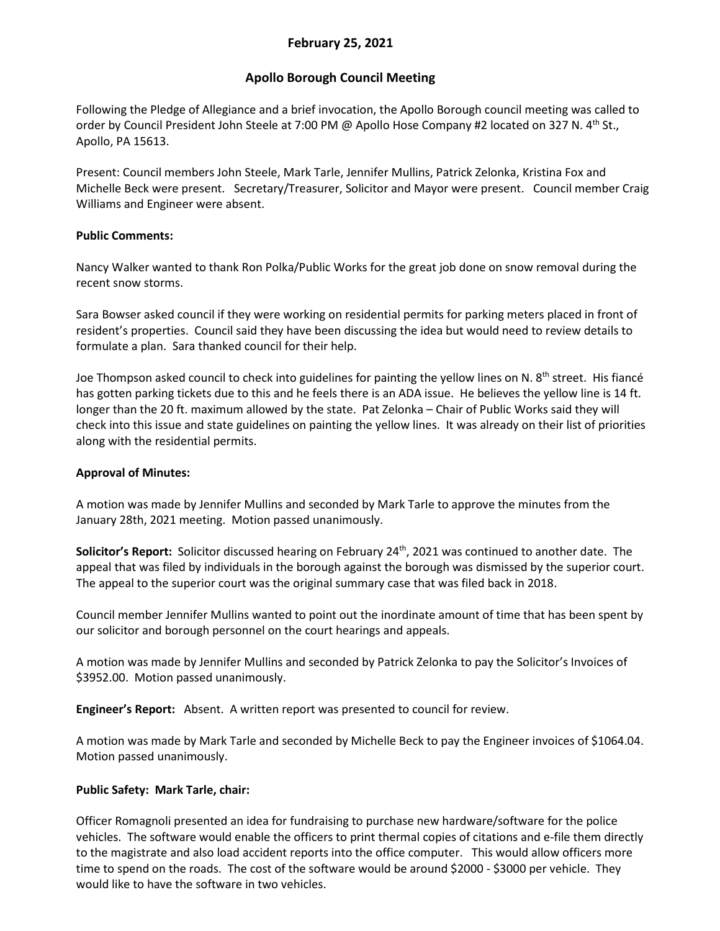# **February 25, 2021**

# **Apollo Borough Council Meeting**

Following the Pledge of Allegiance and a brief invocation, the Apollo Borough council meeting was called to order by Council President John Steele at 7:00 PM @ Apollo Hose Company #2 located on 327 N. 4<sup>th</sup> St., Apollo, PA 15613.

Present: Council members John Steele, Mark Tarle, Jennifer Mullins, Patrick Zelonka, Kristina Fox and Michelle Beck were present. Secretary/Treasurer, Solicitor and Mayor were present. Council member Craig Williams and Engineer were absent.

## **Public Comments:**

Nancy Walker wanted to thank Ron Polka/Public Works for the great job done on snow removal during the recent snow storms.

Sara Bowser asked council if they were working on residential permits for parking meters placed in front of resident's properties. Council said they have been discussing the idea but would need to review details to formulate a plan. Sara thanked council for their help.

Joe Thompson asked council to check into guidelines for painting the yellow lines on N.  $8<sup>th</sup>$  street. His fiancé has gotten parking tickets due to this and he feels there is an ADA issue. He believes the yellow line is 14 ft. longer than the 20 ft. maximum allowed by the state. Pat Zelonka – Chair of Public Works said they will check into this issue and state guidelines on painting the yellow lines. It was already on their list of priorities along with the residential permits.

## **Approval of Minutes:**

A motion was made by Jennifer Mullins and seconded by Mark Tarle to approve the minutes from the January 28th, 2021 meeting. Motion passed unanimously.

**Solicitor's Report:** Solicitor discussed hearing on February 24th, 2021 was continued to another date. The appeal that was filed by individuals in the borough against the borough was dismissed by the superior court. The appeal to the superior court was the original summary case that was filed back in 2018.

Council member Jennifer Mullins wanted to point out the inordinate amount of time that has been spent by our solicitor and borough personnel on the court hearings and appeals.

A motion was made by Jennifer Mullins and seconded by Patrick Zelonka to pay the Solicitor's Invoices of \$3952.00. Motion passed unanimously.

**Engineer's Report:** Absent. A written report was presented to council for review.

A motion was made by Mark Tarle and seconded by Michelle Beck to pay the Engineer invoices of \$1064.04. Motion passed unanimously.

# **Public Safety: Mark Tarle, chair:**

Officer Romagnoli presented an idea for fundraising to purchase new hardware/software for the police vehicles. The software would enable the officers to print thermal copies of citations and e-file them directly to the magistrate and also load accident reports into the office computer. This would allow officers more time to spend on the roads. The cost of the software would be around \$2000 - \$3000 per vehicle. They would like to have the software in two vehicles.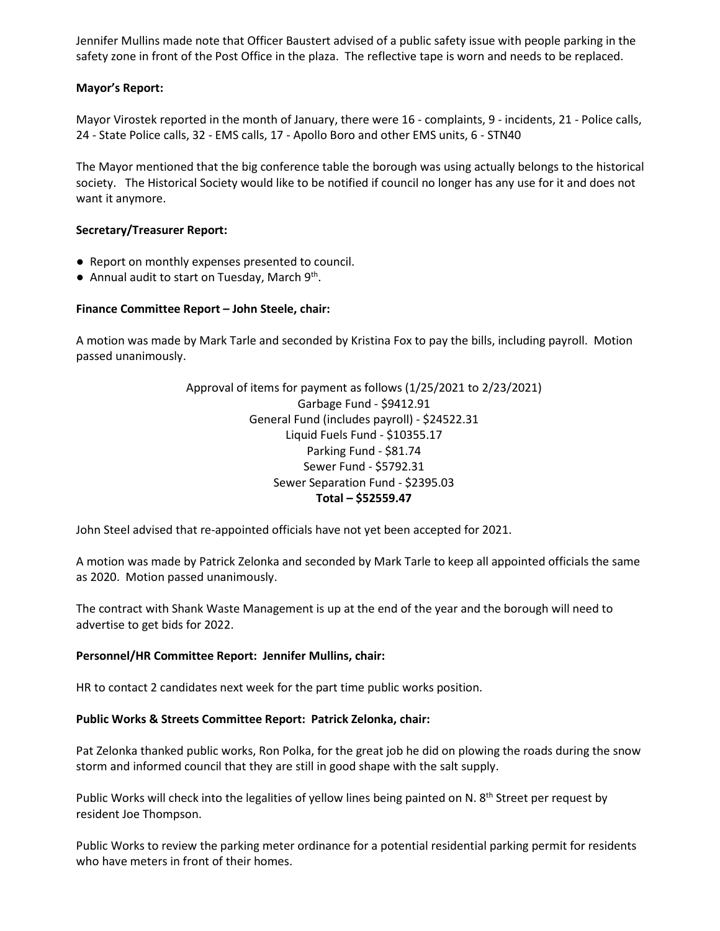Jennifer Mullins made note that Officer Baustert advised of a public safety issue with people parking in the safety zone in front of the Post Office in the plaza. The reflective tape is worn and needs to be replaced.

## **Mayor's Report:**

Mayor Virostek reported in the month of January, there were 16 - complaints, 9 - incidents, 21 - Police calls, 24 - State Police calls, 32 - EMS calls, 17 - Apollo Boro and other EMS units, 6 - STN40

The Mayor mentioned that the big conference table the borough was using actually belongs to the historical society. The Historical Society would like to be notified if council no longer has any use for it and does not want it anymore.

### **Secretary/Treasurer Report:**

- Report on monthly expenses presented to council.
- Annual audit to start on Tuesday, March  $9<sup>th</sup>$ .

### **Finance Committee Report – John Steele, chair:**

A motion was made by Mark Tarle and seconded by Kristina Fox to pay the bills, including payroll. Motion passed unanimously.

> Approval of items for payment as follows (1/25/2021 to 2/23/2021) Garbage Fund - \$9412.91 General Fund (includes payroll) - \$24522.31 Liquid Fuels Fund - \$10355.17 Parking Fund - \$81.74 Sewer Fund - \$5792.31 Sewer Separation Fund - \$2395.03 **Total – \$52559.47**

John Steel advised that re-appointed officials have not yet been accepted for 2021.

A motion was made by Patrick Zelonka and seconded by Mark Tarle to keep all appointed officials the same as 2020. Motion passed unanimously.

The contract with Shank Waste Management is up at the end of the year and the borough will need to advertise to get bids for 2022.

#### **Personnel/HR Committee Report: Jennifer Mullins, chair:**

HR to contact 2 candidates next week for the part time public works position.

#### **Public Works & Streets Committee Report: Patrick Zelonka, chair:**

Pat Zelonka thanked public works, Ron Polka, for the great job he did on plowing the roads during the snow storm and informed council that they are still in good shape with the salt supply.

Public Works will check into the legalities of yellow lines being painted on N. 8<sup>th</sup> Street per request by resident Joe Thompson.

Public Works to review the parking meter ordinance for a potential residential parking permit for residents who have meters in front of their homes.